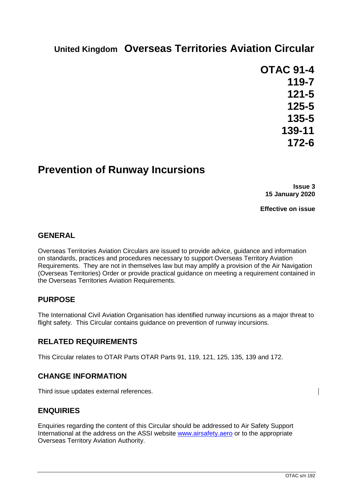# **United Kingdom Overseas Territories Aviation Circular**

**OTAC 91-4 119-7 121-5 125-5 135-5 139-11 172-6**

## **Prevention of Runway Incursions**

**Issue 3 15 January 2020**

**Effective on issue**

## **GENERAL**

Overseas Territories Aviation Circulars are issued to provide advice, guidance and information on standards, practices and procedures necessary to support Overseas Territory Aviation Requirements. They are not in themselves law but may amplify a provision of the Air Navigation (Overseas Territories) Order or provide practical guidance on meeting a requirement contained in the Overseas Territories Aviation Requirements.

## **PURPOSE**

The International Civil Aviation Organisation has identified runway incursions as a major threat to flight safety. This Circular contains guidance on prevention of runway incursions.

#### **RELATED REQUIREMENTS**

This Circular relates to OTAR Parts OTAR Parts 91, 119, 121, 125, 135, 139 and 172.

#### **CHANGE INFORMATION**

Third issue updates external references.

#### **ENQUIRIES**

Enquiries regarding the content of this Circular should be addressed to Air Safety Support International at the address on the ASSI website [www.airsafety.aero](http://www.airsafety.aero/) or to the appropriate Overseas Territory Aviation Authority.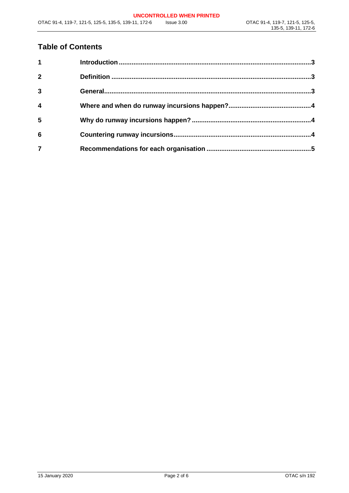## **Table of Contents**

| 1              |  |
|----------------|--|
| $\overline{2}$ |  |
| $\mathbf{3}$   |  |
| 4              |  |
| 5              |  |
| 6              |  |
|                |  |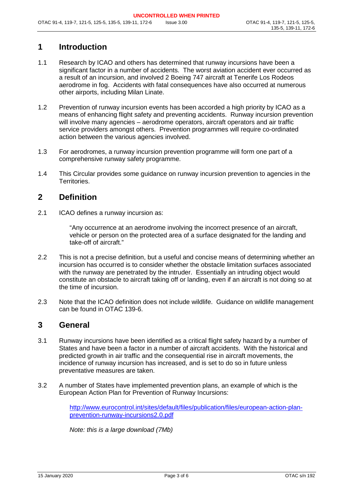## <span id="page-2-0"></span>**1 Introduction**

- 1.1 Research by ICAO and others has determined that runway incursions have been a significant factor in a number of accidents. The worst aviation accident ever occurred as a result of an incursion, and involved 2 Boeing 747 aircraft at Tenerife Los Rodeos aerodrome in fog. Accidents with fatal consequences have also occurred at numerous other airports, including Milan Linate.
- 1.2 Prevention of runway incursion events has been accorded a high priority by ICAO as a means of enhancing flight safety and preventing accidents. Runway incursion prevention will involve many agencies – aerodrome operators, aircraft operators and air traffic service providers amongst others. Prevention programmes will require co-ordinated action between the various agencies involved.
- 1.3 For aerodromes, a runway incursion prevention programme will form one part of a comprehensive runway safety programme.
- 1.4 This Circular provides some guidance on runway incursion prevention to agencies in the Territories.

#### <span id="page-2-1"></span>**2 Definition**

2.1 ICAO defines a runway incursion as:

"Any occurrence at an aerodrome involving the incorrect presence of an aircraft, vehicle or person on the protected area of a surface designated for the landing and take-off of aircraft."

- 2.2 This is not a precise definition, but a useful and concise means of determining whether an incursion has occurred is to consider whether the obstacle limitation surfaces associated with the runway are penetrated by the intruder. Essentially an intruding object would constitute an obstacle to aircraft taking off or landing, even if an aircraft is not doing so at the time of incursion.
- 2.3 Note that the ICAO definition does not include wildlife. Guidance on wildlife management can be found in OTAC 139-6.

#### <span id="page-2-2"></span>**3 General**

- 3.1 Runway incursions have been identified as a critical flight safety hazard by a number of States and have been a factor in a number of aircraft accidents. With the historical and predicted growth in air traffic and the consequential rise in aircraft movements, the incidence of runway incursion has increased, and is set to do so in future unless preventative measures are taken.
- 3.2 A number of States have implemented prevention plans, an example of which is the European Action Plan for Prevention of Runway Incursions:

[http://www.eurocontrol.int/sites/default/files/publication/files/european-action-plan](http://www.eurocontrol.int/sites/default/files/publication/files/european-action-plan-prevention-runway-incursions2.0.pdf)[prevention-runway-incursions2.0.pdf](http://www.eurocontrol.int/sites/default/files/publication/files/european-action-plan-prevention-runway-incursions2.0.pdf)

*Note: this is a large download (7Mb)*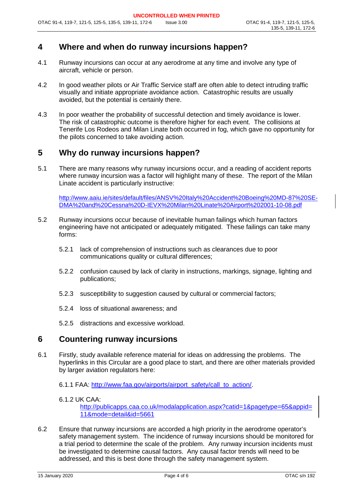## <span id="page-3-0"></span>**4 Where and when do runway incursions happen?**

- 4.1 Runway incursions can occur at any aerodrome at any time and involve any type of aircraft, vehicle or person.
- 4.2 In good weather pilots or Air Traffic Service staff are often able to detect intruding traffic visually and initiate appropriate avoidance action. Catastrophic results are usually avoided, but the potential is certainly there.
- 4.3 In poor weather the probability of successful detection and timely avoidance is lower. The risk of catastrophic outcome is therefore higher for each event. The collisions at Tenerife Los Rodeos and Milan Linate both occurred in fog, which gave no opportunity for the pilots concerned to take avoiding action.

## <span id="page-3-1"></span>**5 Why do runway incursions happen?**

5.1 There are many reasons why runway incursions occur, and a reading of accident reports where runway incursion was a factor will highlight many of these. The report of the Milan Linate accident is particularly instructive:

http://www.aaiu.ie/sites/default/files/ANSV%20Italy%20Accident%20Boeing%20MD-87%20SE-DMA%20and%20Cessna%20D-IEVX%20Milan%20Linate%20Airport%202001-10-08.pdf

- 5.2 Runway incursions occur because of inevitable human failings which human factors engineering have not anticipated or adequately mitigated. These failings can take many forms:
	- 5.2.1 lack of comprehension of instructions such as clearances due to poor communications quality or cultural differences;
	- 5.2.2 confusion caused by lack of clarity in instructions, markings, signage, lighting and publications;
	- 5.2.3 susceptibility to suggestion caused by cultural or commercial factors;
	- 5.2.4 loss of situational awareness; and
	- 5.2.5 distractions and excessive workload.

#### <span id="page-3-2"></span>**6 Countering runway incursions**

6.1 Firstly, study available reference material for ideas on addressing the problems. The hyperlinks in this Circular are a good place to start, and there are other materials provided by larger aviation regulators here:

6.1.1 FAA: http://www.faa.gov/airports/airport\_safety/call\_to\_action/.

#### 6.1.2 UK CAA:

[http://publicapps.caa.co.uk/modalapplication.aspx?catid=1&pagetype=65&appid=](http://publicapps.caa.co.uk/modalapplication.aspx?catid=1&pagetype=65&appid=11&mode=detail&id=5661) [11&mode=detail&id=5661](http://publicapps.caa.co.uk/modalapplication.aspx?catid=1&pagetype=65&appid=11&mode=detail&id=5661)

6.2 Ensure that runway incursions are accorded a high priority in the aerodrome operator's safety management system. The incidence of runway incursions should be monitored for a trial period to determine the scale of the problem. Any runway incursion incidents must be investigated to determine causal factors. Any causal factor trends will need to be addressed, and this is best done through the safety management system.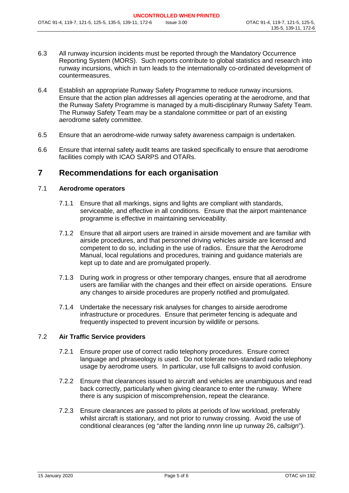- 6.3 All runway incursion incidents must be reported through the Mandatory Occurrence Reporting System (MORS). Such reports contribute to global statistics and research into runway incursions, which in turn leads to the internationally co-ordinated development of countermeasures.
- 6.4 Establish an appropriate Runway Safety Programme to reduce runway incursions. Ensure that the action plan addresses all agencies operating at the aerodrome, and that the Runway Safety Programme is managed by a multi-disciplinary Runway Safety Team. The Runway Safety Team may be a standalone committee or part of an existing aerodrome safety committee.
- 6.5 Ensure that an aerodrome-wide runway safety awareness campaign is undertaken.
- 6.6 Ensure that internal safety audit teams are tasked specifically to ensure that aerodrome facilities comply with ICAO SARPS and OTARs.

#### <span id="page-4-0"></span>**7 Recommendations for each organisation**

#### 7.1 **Aerodrome operators**

- 7.1.1 Ensure that all markings, signs and lights are compliant with standards, serviceable, and effective in all conditions. Ensure that the airport maintenance programme is effective in maintaining serviceability.
- 7.1.2 Ensure that all airport users are trained in airside movement and are familiar with airside procedures, and that personnel driving vehicles airside are licensed and competent to do so, including in the use of radios. Ensure that the Aerodrome Manual, local regulations and procedures, training and guidance materials are kept up to date and are promulgated properly.
- 7.1.3 During work in progress or other temporary changes, ensure that all aerodrome users are familiar with the changes and their effect on airside operations. Ensure any changes to airside procedures are properly notified and promulgated.
- 7.1.4 Undertake the necessary risk analyses for changes to airside aerodrome infrastructure or procedures. Ensure that perimeter fencing is adequate and frequently inspected to prevent incursion by wildlife or persons.

#### 7.2 **Air Traffic Service providers**

- 7.2.1 Ensure proper use of correct radio telephony procedures. Ensure correct language and phraseology is used. Do not tolerate non-standard radio telephony usage by aerodrome users. In particular, use full callsigns to avoid confusion.
- 7.2.2 Ensure that clearances issued to aircraft and vehicles are unambiguous and read back correctly, particularly when giving clearance to enter the runway. Where there is any suspicion of miscomprehension, repeat the clearance.
- 7.2.3 Ensure clearances are passed to pilots at periods of low workload, preferably whilst aircraft is stationary, and not prior to runway crossing. Avoid the use of conditional clearances (eg "after the landing *nnnn* line up runway 26, *callsign*").